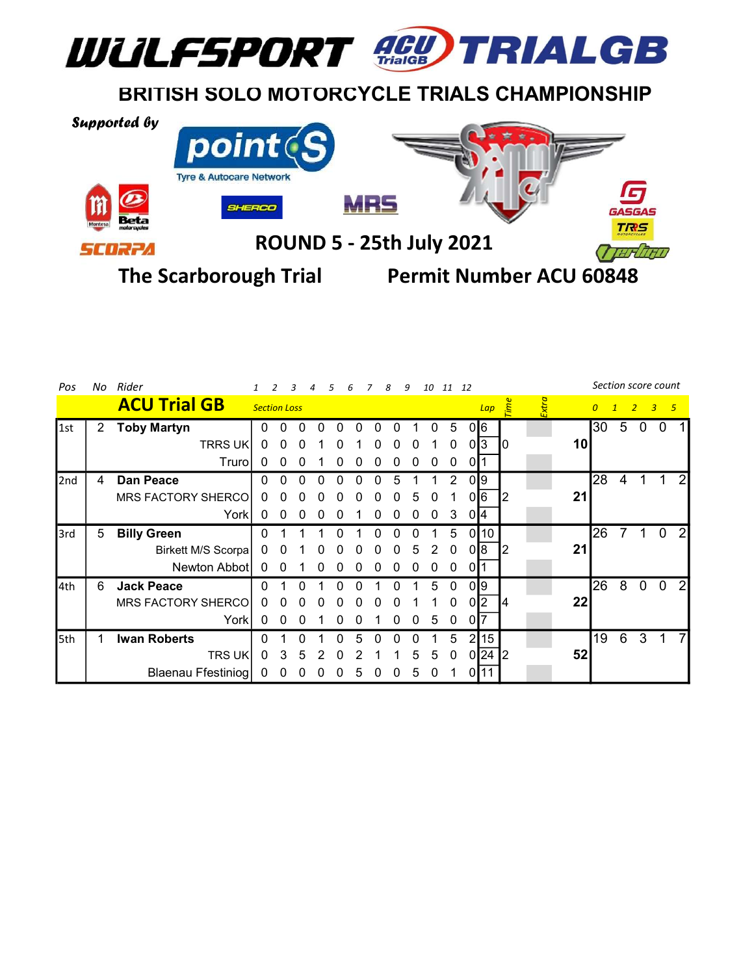

ROUND 5 - 25th July 2021

scoet

The Scarborough Trial Permit Number ACU 60848

 $HT$ 

| Pos         |                      | No Rider                  | 10 11 12<br>8<br>g  |          |   |   |   |   |          |   |   |          |              |            | Section score count |             |         |    |                |   |          |                |   |
|-------------|----------------------|---------------------------|---------------------|----------|---|---|---|---|----------|---|---|----------|--------------|------------|---------------------|-------------|---------|----|----------------|---|----------|----------------|---|
|             |                      | <b>ACU Trial GB</b>       | <b>Section Loss</b> |          |   |   |   |   |          |   |   |          |              |            | Lap                 | <b>Time</b> | $x$ tra |    | $\overline{0}$ |   | 2        | 3 <sub>5</sub> |   |
| $\vert$ 1st | $\mathbf{2}^{\circ}$ | <b>Toby Martyn</b>        | 0                   | 0        |   |   |   |   |          |   |   | 0        | 5            |            | 016                 |             |         |    | 30             | 5 | $\Omega$ | 0              |   |
|             |                      | <b>TRRS UK</b>            | $\Omega$            | $\Omega$ | 0 |   |   |   |          | O | 0 |          | $\Omega$     |            | 0 3                 | 10          |         | 10 |                |   |          |                |   |
|             |                      | Truro                     |                     |          |   |   |   |   |          |   |   | O        | 0            | -011       |                     |             |         |    |                |   |          |                |   |
| 2nd         | 4                    | Dan Peace                 | U                   |          |   |   |   |   |          | 5 |   |          | 2            |            | 019                 |             |         |    | 28             | 4 |          |                | 2 |
|             |                      | <b>MRS FACTORY SHERCO</b> | $^{(1)}$            |          |   |   |   |   |          |   | 5 | $^{(1)}$ |              |            | 0 6                 |             |         | 21 |                |   |          |                |   |
|             |                      | York                      |                     |          |   |   |   |   |          |   |   | 0        | 3            | 014        |                     |             |         |    |                |   |          |                |   |
| 3rd         | 5                    | <b>Billy Green</b>        |                     |          |   |   |   |   |          |   |   |          | 5            |            | 0 10                |             |         |    | 26             |   |          | 0              | 2 |
|             |                      | Birkett M/S Scorpa        | 0                   |          |   | O | 0 |   | $\Omega$ | 0 | 5 | 2        | $\Omega$     |            | 0 8                 |             |         | 21 |                |   |          |                |   |
|             |                      | Newton Abbot              | $\Omega$            |          |   |   |   |   |          |   |   |          | 0            | -011       |                     |             |         |    |                |   |          |                |   |
| 4th         | 6                    | <b>Jack Peace</b>         |                     |          |   |   |   |   |          |   |   | 5        | $\Omega$     |            | 019                 |             |         |    | 26             | 8 | $\Omega$ | $\Omega$       | 2 |
|             |                      | MRS FACTORY SHERCO        | 0                   |          |   |   |   |   |          |   |   |          | $\Omega$     |            | 0 <sup>2</sup>      |             |         | 22 |                |   |          |                |   |
|             |                      | York                      | $\Omega$            |          |   |   |   |   |          |   | 0 | 5        | $\mathbf{0}$ | $0\vert 7$ |                     |             |         |    |                |   |          |                |   |
| <b>5th</b>  |                      | <b>Iwan Roberts</b>       |                     |          |   |   |   | h |          |   |   |          | 5            |            | 2 15                |             |         |    | 19             | 6 | 3        |                |   |
|             |                      | <b>TRS UK</b>             | $\mathbf 0$         | 3        | 5 | 2 | 0 |   |          |   | 5 | 5        | $\mathbf 0$  |            | 0 24 2              |             |         | 52 |                |   |          |                |   |
|             |                      | Blaenau Ffestiniog        |                     |          |   |   |   | 5 |          |   | 5 | 0        |              |            | 0 11                |             |         |    |                |   |          |                |   |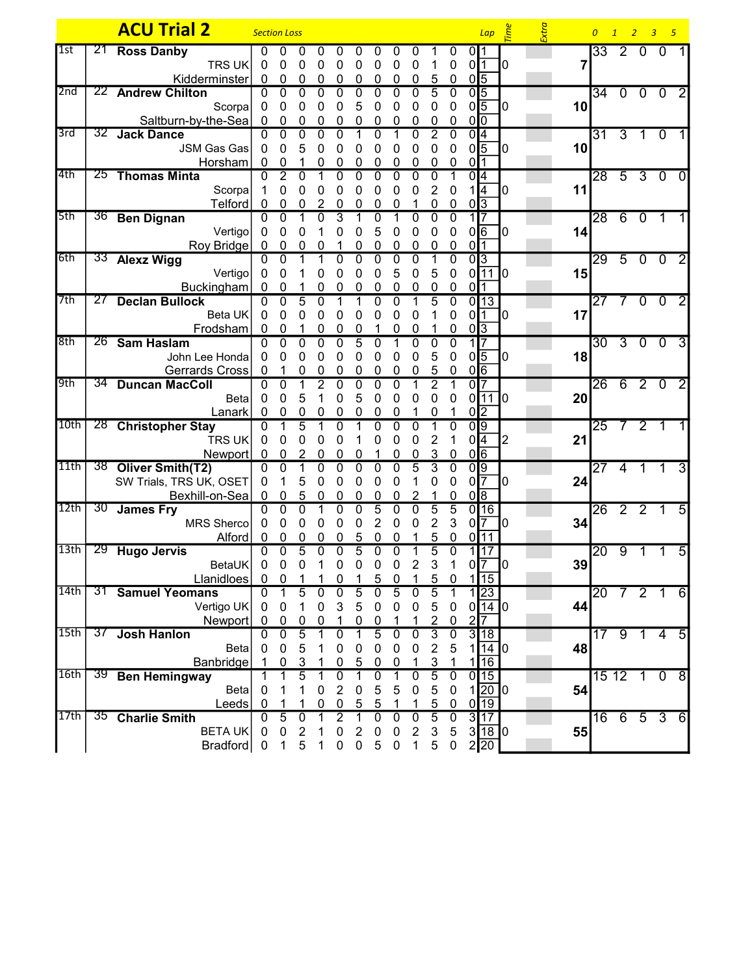|       |                 | <b>ACU Trial 2</b>                         | <b>Section Loss</b>        |                             |                |                |                |                |                  |                  |                                |                |                  |                             | $Lap \quad \stackrel{\text{def}}{=}$ |                           | Extra |    | $\overline{0}$  |                |                                             | $1 \quad 2 \quad 3 \quad 5$ |                |
|-------|-----------------|--------------------------------------------|----------------------------|-----------------------------|----------------|----------------|----------------|----------------|------------------|------------------|--------------------------------|----------------|------------------|-----------------------------|--------------------------------------|---------------------------|-------|----|-----------------|----------------|---------------------------------------------|-----------------------------|----------------|
| l 1st | 21              | <b>Ross Danby</b>                          | $\Omega$                   | 0                           | 0              | 0              |                |                |                  |                  |                                |                | 0                | 0I1                         |                                      |                           |       |    | $\overline{33}$ | $\overline{2}$ | $\Omega$                                    | $\Omega$                    |                |
|       |                 | TRS UK                                     | 0                          | 0                           | 0              | 0              | 0              | 0              | 0                | 0                | 0                              |                | 0                | 0 <sup>11</sup>             |                                      | 0                         |       | 7  |                 |                |                                             |                             |                |
|       |                 | Kidderminster                              | 0                          | 0                           | 0              | 0              | 0              | 0              | 0                | 0                | 0                              | 5              | 0                | $0\sqrt{5}$                 |                                      |                           |       |    |                 |                |                                             |                             |                |
| 2nd   |                 | 22 Andrew Chilton                          | $\Omega$                   | $\overline{0}$              | $\overline{0}$ | $\overline{0}$ | 0              | 0              | 0                | 0                | 0                              | $\overline{5}$ | $\mathbf{0}$     | $\overline{0}$ <sub>5</sub> |                                      |                           |       |    |                 |                | 34 0 0 0                                    |                             | $\overline{2}$ |
|       |                 | Scorpa                                     | 0                          | 0                           | 0              | 0              | 0              | 5              | 0                | 0                | 0                              | 0              | 0                | $0\sqrt{5}$                 |                                      |                           |       | 10 |                 |                |                                             |                             |                |
|       |                 | Saltburn-by-the-Sea                        | $\mathbf 0$                | 0                           | 0              | 0              | 0              | 0              | 0                | 0                | 0                              | 0              | 0                | $0\overline{0}$             |                                      |                           |       |    |                 |                |                                             |                             |                |
| 3rd   |                 | 32 Jack Dance                              | $\Omega$                   | $\mathbf 0$                 | 0              | $\mathbf 0$    | 0              |                | $\Omega$         |                  | 0                              | 2              | 0                | 0 4                         |                                      |                           |       |    | 31              |                | $3 \quad 1 \quad 0$                         |                             |                |
|       |                 | <b>JSM Gas Gas</b>                         | $\mathbf{0}$               | 0                           | 5              | 0              | 0              | 0              | 0                | 0                | 0                              | 0              | 0                | $0\sqrt{5}$                 |                                      | 0                         |       | 10 |                 |                |                                             |                             |                |
| 4th   |                 | Horsham<br>25 Thomas Minta                 | 0                          | 0                           | 1              | 0              | 0<br>0         | 0<br>$\Omega$  | 0<br>$\Omega$    | 0                | 0                              | 0              | 0                | 0 <sup>1</sup>              |                                      |                           |       |    |                 |                |                                             |                             |                |
|       |                 | Scorpa                                     | $\Omega$<br>$\overline{1}$ | $\overline{2}$<br>0         | $\Omega$       |                | 0              |                | 0                | 0                |                                | $\Omega$<br>2  |                  | 0I4                         |                                      | 0                         |       | 11 |                 |                |                                             | $28$ 5 3 0                  | $\Omega$       |
|       |                 | Telford                                    | 0                          | 0                           | 0<br>0         | 0<br>2         | 0              | 0<br>0         | 0                | 0                | 0                              | 0              | 0<br>0           | $0\sqrt{3}$                 | 1 4                                  |                           |       |    |                 |                |                                             |                             |                |
| 5th   |                 | 36 Ben Dignan                              | $\mathbf{0}$               | $\mathbf{0}$                |                | $\mathbf{0}$   | 3              |                | 0                |                  | 0                              | 0              | $\mathbf 0$      |                             |                                      |                           |       |    | $\overline{28}$ |                | 6 0 1                                       |                             |                |
|       |                 | Vertigo                                    | $\mathbf 0$                | 0                           | 0              |                | 0              | 0              | 5                | 0                | 0                              | $\mathbf{0}$   | 0                | $0$ <sup>6</sup>            |                                      |                           |       | 14 |                 |                |                                             |                             |                |
|       |                 | Roy Bridge                                 | $\mathbf 0$                | 0                           | 0              | 0              |                | 0              | 0                | 0                | 0                              | 0              | 0                | 01                          |                                      |                           |       |    |                 |                |                                             |                             |                |
| 6th   |                 | 33 Alexz Wigg                              | $\Omega$                   | $\Omega$                    |                |                | 0              | $\Omega$       | 0                |                  | 0                              |                | 0                |                             | $\overline{0}$ <sub>3</sub>          |                           |       |    | 29500           |                |                                             |                             | $\vert$ 2      |
|       |                 | Vertigo                                    | $\mathbf{0}$               | 0                           |                | 0              | 0              | 0              | 0                | 5                | 0                              | 5              | 0                |                             | $0\overline{11}$                     | 10                        |       | 15 |                 |                |                                             |                             |                |
|       |                 | Buckingham                                 | $\Omega$                   | 0                           | 1              | 0              | 0              | 0              | 0                | 0                | 0                              | 0              | 0                | 0 <sup>11</sup>             |                                      |                           |       |    |                 |                |                                             |                             |                |
| 7th   | 27              | <b>Declan Bullock</b>                      | $\Omega$                   | $\mathbf 0$                 | 5              | $\mathbf 0$    |                |                | $\Omega$         | 0                |                                | 5              | $\mathbf 0$      |                             | 0 13                                 |                           |       |    | 27              | 7              |                                             | 0 <sub>0</sub>              | $\overline{2}$ |
|       |                 | Beta UK                                    | 0                          | 0                           | 0              | 0              | 0              | O              | 0                | 0                | O                              |                | 0                | 011                         |                                      | 10                        |       | 17 |                 |                |                                             |                             |                |
|       |                 | Frodsham                                   | 0                          | 0                           |                | 0              | 0              | 0              |                  | 0                | 0                              |                | 0                | 0 <sub>13</sub>             |                                      |                           |       |    |                 |                |                                             |                             |                |
| 8th   |                 | 26 Sam Haslam                              | $\Omega$                   | $\mathbf{0}$                | $\Omega$       | $\mathbf{0}$   | 0              | 5              | 0                |                  | 0                              | 0              | $\mathbf 0$      |                             |                                      |                           |       |    | 30              |                | $\begin{array}{c} 3 & 0 & 0 \end{array}$    |                             | $\overline{3}$ |
|       |                 | John Lee Honda                             | $\mathbf{0}$               | 0                           | 0              | 0              | 0              | 0              | 0                | 0                | 0                              | 5              | $\mathbf 0$      | $0\sqrt{5}$                 |                                      | 0                         |       | 18 |                 |                |                                             |                             |                |
|       |                 | Gerrards Cross                             | 0                          |                             | 0              | 0              |                |                |                  |                  |                                | 5              | 0                | $0\sqrt{6}$                 |                                      |                           |       |    |                 |                |                                             |                             |                |
| 9th   | 34              | <b>Duncan MacColl</b>                      | $\Omega$                   | $\overline{0}$              |                | $\overline{2}$ |                |                |                  |                  |                                | 2              |                  | ΩI                          |                                      |                           |       |    | 26              |                | $620$                                       |                             | $\overline{2}$ |
|       |                 | <b>Beta</b>                                | $\Omega$                   | 0                           | 5              |                | 0              | 5              | 0                | 0                | 0                              | 0              | 0                |                             | 0 11                                 | $\mathbf{I}^{\mathbf{0}}$ |       | 20 |                 |                |                                             |                             |                |
|       |                 | Lanark                                     | 0                          | 0                           | 0              | 0              | 0              | 0              | 0                | 0                |                                | 0              |                  | 0 <sup>2</sup>              |                                      |                           |       |    |                 |                |                                             |                             |                |
| 10th  |                 | 28 Christopher Stay                        | $\Omega$                   | 1                           | $\overline{5}$ |                | 0              |                | 0                |                  |                                |                | 0                | $\overline{0}$              |                                      |                           |       |    | $\overline{25}$ |                | $\begin{array}{cccc} 7 & 2 & 1 \end{array}$ |                             |                |
|       |                 | <b>TRS UK</b>                              | 0                          | 0                           | 0              | 0              | 0              |                | 0                | 0                | 0                              | 2              |                  | 0 4                         |                                      | 2                         |       | 21 |                 |                |                                             |                             |                |
|       |                 | Newport                                    | 0                          | 0                           |                | 0              | 0              | O              |                  | 0                | 0                              | 3              | 0                | 0 6                         |                                      |                           |       |    |                 |                |                                             |                             |                |
| 11th  |                 | 38 Oliver Smith(T2)                        | $\mathbf{0}$               | $\mathbf{0}$                |                | 0              | 0              | 0              | 0                | $\Omega$         | 5                              | 3              | $\mathbf 0$      | $\overline{0}$              |                                      |                           |       |    | 27              | $\overline{4}$ | $\mathbf 1$                                 | 1                           | 3              |
|       |                 | SW Trials, TRS UK, OSET                    | $\mathbf{0}$               | 1                           | 5              | 0              | 0              | 0              | 0                | 0                |                                | 0              | 0                | $0\sqrt{7}$                 |                                      | 0                         |       | 24 |                 |                |                                             |                             |                |
| 12th  | 30 <sup>7</sup> | Bexhill-on-Sea<br><b>James Fry</b>         | $\mathbf 0$<br>$\Omega$    | $\mathbf 0$<br>$\mathbf{0}$ | 5<br>$\Omega$  | 0<br>1         | 0<br>0         | 0<br>$\Omega$  | 0<br>5           | 0<br>0           | $\overline{2}$<br>$\mathbf{0}$ | 5              | 0<br>5           | $\sqrt{8}$                  | $0$ <sup>16</sup>                    |                           |       |    |                 |                | $26$ 2 2 1                                  |                             |                |
|       |                 | MRS Sherco                                 | 0                          | 0                           | 0              |                | 0              | 0              | 2                | 0                | 0                              | $\overline{2}$ | 3                | 0 <sup>17</sup>             |                                      | Ю                         |       | 34 |                 |                |                                             |                             | 5              |
|       |                 | Alford                                     | 0                          | 0                           | $\mathbf 0$    | 0<br>0         | 0              | 5              | 0                | 0                |                                | 5              | 0                |                             | 0111                                 |                           |       |    |                 |                |                                             |                             |                |
| 13th  | 29              | <b>Hugo Jervis</b>                         | 0                          | 0                           | $\overline{5}$ | 0              | 0              | $\overline{5}$ | 0                | 0                |                                | 5              | 0                |                             | 1117                                 |                           |       |    | 20              | 9              |                                             |                             | 5              |
|       |                 | BetaUK                                     | 0                          | 0                           | 0              | 1              | 0              | 0              | 0                | 0                | 2                              | 3              |                  | 0 <sup>17</sup>             |                                      | 10                        |       | 39 |                 |                |                                             |                             |                |
|       |                 | Llanidloes                                 | $\pmb{0}$                  | 0                           |                |                | 0              |                | 5                | 0                |                                | 5              | 0                |                             | $1\sqrt{15}$                         |                           |       |    |                 |                |                                             |                             |                |
| 14th  |                 | 31 Samuel Yeomans                          | $\overline{0}$             | 1                           | 5              | 0              | $\Omega$       | 5              | $\Omega$         | $\overline{5}$   | 0                              | 5              | 1                |                             | 1 23                                 |                           |       |    |                 |                | 20 7 2 1                                    |                             | 6              |
|       |                 | Vertigo UK                                 | $\mathbf{0}$               | 0                           | 1              | 0              | 3              | 5              | 0                | $\mathbf 0$      | $\mathbf 0$                    | 5              | $\mathbf 0$      |                             | $0$ 14 0                             |                           |       | 44 |                 |                |                                             |                             |                |
|       |                 | Newport                                    | 0                          | $\overline{0}$              | $\overline{0}$ | 0              | 1              | 0              | $\boldsymbol{0}$ | 1                | 1                              | $\overline{2}$ | $\boldsymbol{0}$ | $\overline{2}$              |                                      |                           |       |    |                 |                |                                             |                             |                |
| 15th  | 37              | <b>Josh Hanlon</b>                         | $\Omega$                   | $\mathbf 0$                 | $\overline{5}$ |                | $\Omega$       |                | $\overline{5}$   | 0                | $\mathbf 0$                    | $\overline{3}$ | $\overline{0}$   |                             | 3 18                                 |                           |       |    |                 |                | 17 9 1 4                                    |                             | $\overline{5}$ |
|       |                 | <b>Beta</b>                                | $\mathbf{0}$               | 0                           | 5              |                | 0              | 0              | 0                | 0                | 0                              | $\overline{2}$ | 5                |                             | 14                                   | 10                        |       | 48 |                 |                |                                             |                             |                |
|       |                 | Banbridge                                  |                            | 0                           | <u>3</u>       |                | 0              | 5              | 0                | 0                |                                | 3              |                  |                             | 16                                   |                           |       |    |                 |                |                                             |                             |                |
| 16th  |                 | 39 Ben Hemingway                           | 1                          |                             | $\overline{5}$ |                | 0              |                | 0                |                  | 0                              | $\overline{5}$ | $\mathbf 0$      |                             | 0 15                                 |                           |       |    |                 |                | $1512$ 1 0                                  |                             | $\overline{8}$ |
|       |                 | <b>Beta</b>                                | $\mathbf 0$                |                             | 1              | 0              | 2              | 0              | 5                | 5                | 0                              | 5              | $\mathbf 0$      |                             | 1 20 0                               |                           |       | 54 |                 |                |                                             |                             |                |
|       |                 | Leeds                                      | 0                          |                             |                | 0              | 0              | 5              | 5                |                  |                                | 5              | 0                |                             | $0\overline{19}$                     |                           |       |    |                 |                |                                             |                             |                |
| 17th  |                 | 35 Charlie Smith                           | $\Omega$                   | $\overline{5}$              | $\mathbf 0$    |                | $\overline{2}$ |                | 0                | 0                | 0                              | $\overline{5}$ | $\mathbf 0$      |                             | 3117                                 |                           |       |    | $\overline{16}$ |                |                                             | 653                         | 6              |
|       |                 | <b>BETAUK</b>                              | 0                          | 0                           | $\overline{c}$ |                | 0              | 2              | 0                | 0                | $\overline{2}$                 | $\sqrt{3}$     | 5                |                             | 3 18                                 | 10                        |       | 55 |                 |                |                                             |                             |                |
|       |                 | Bradford $\begin{bmatrix} 0 \end{bmatrix}$ |                            | 1                           | 5              | 1              | $\mathbf 0$    | $\mathbf 0$    | $\sqrt{5}$       | $\boldsymbol{0}$ | $\mathbf 1$                    | $\sqrt{5}$     | $\pmb{0}$        |                             | 2 20                                 |                           |       |    |                 |                |                                             |                             |                |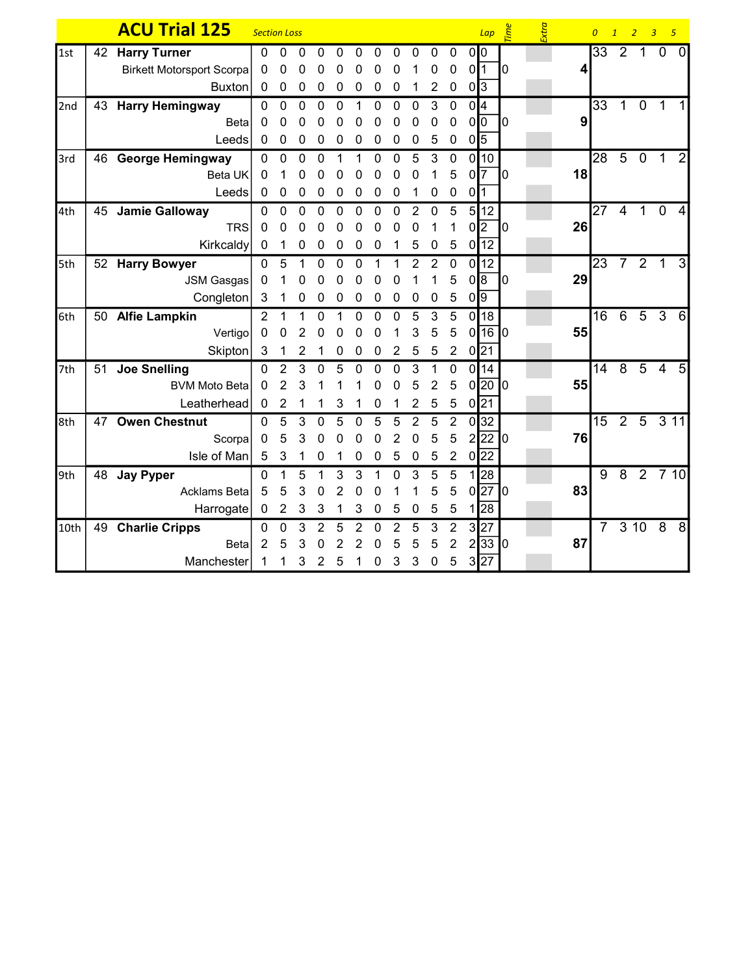|      |    | <b>ACU Trial 125</b>             | <b>Section Loss</b> |                |             |                |                |             |             |                |                  |                 |                  |                 | Lap              | <b>Time</b> | Extra |    | $\overline{0}$ | 1              | $\overline{2}$   | $\overline{3}$<br>$-5$ |                |
|------|----|----------------------------------|---------------------|----------------|-------------|----------------|----------------|-------------|-------------|----------------|------------------|-----------------|------------------|-----------------|------------------|-------------|-------|----|----------------|----------------|------------------|------------------------|----------------|
| 1st  |    | 42 Harry Turner                  | $\Omega$            | $\mathbf{0}$   | 0           | 0              | 0              | 0           | 0           | $\Omega$       | $\Omega$         | 0               | $\mathbf{0}$     |                 | 0 <sup>10</sup>  |             |       |    | 33             | $\overline{2}$ | $\overline{1}$   | $\mathbf 0$            | $\mathbf{0}$   |
|      |    | <b>Birkett Motorsport Scorpa</b> | $\mathbf{0}$        | 0              | 0           | 0              | 0              | 0           | 0           | 0              |                  | 0               | $\mathbf 0$      |                 | $0\sqrt{1}$      | IО          |       | 4  |                |                |                  |                        |                |
|      |    | Buxton                           | $\mathbf 0$         | 0              | 0           | 0              | 0              | 0           | 0           | 0              | 1                | $\overline{2}$  | $\mathbf 0$      |                 | 0 3              |             |       |    |                |                |                  |                        |                |
| 2nd  |    | 43 Harry Hemingway               | $\mathbf 0$         | $\mathbf 0$    | 0           | $\mathbf 0$    | 0              | 1           | 0           | 0              | 0                | $\mathfrak{S}$  | $\mathbf 0$      |                 | 0 <sup>4</sup>   |             |       |    | 33             | $\mathbf{1}$   |                  | 0 <sub>1</sub>         |                |
|      |    | <b>Beta</b>                      | $\mathbf{0}$        | 0              | 0           | 0              | 0              | 0           | 0           | 0              | 0                | $\mathbf 0$     | $\mathbf 0$      |                 | 0 <sup>0</sup>   | I0          |       | 9  |                |                |                  |                        |                |
|      |    | Leeds                            | $\mathbf 0$         | 0              | 0           | $\pmb{0}$      | $\mathbf 0$    | 0           | 0           | $\pmb{0}$      | $\mathbf 0$      | $5\phantom{.0}$ | $\boldsymbol{0}$ |                 | $0\sqrt{5}$      |             |       |    |                |                |                  |                        |                |
| 3rd  |    | 46 George Hemingway              | $\mathbf 0$         | $\mathbf{0}$   | $\mathbf 0$ | $\mathbf 0$    | 1              |             | 0           | 0              | 5                | 3               | $\mathbf 0$      |                 | 0 10             |             |       |    | 28             | $\overline{5}$ | $\overline{0}$   | $\overline{1}$         | $\overline{2}$ |
|      |    | Beta UK                          | 0                   |                | 0           | 0              | 0              | O           | O           | ŋ              | O                |                 | 5                |                 | $0\overline{7}$  | 10          |       | 18 |                |                |                  |                        |                |
|      |    | Leeds                            | $\mathbf 0$         | $\mathbf 0$    | 0           | $\mathbf 0$    | 0              | 0           | 0           | $\mathbf 0$    | 1                | $\mathbf 0$     | $\mathbf 0$      | 0 <sup>11</sup> |                  |             |       |    |                |                |                  |                        |                |
| 4th  |    | 45 Jamie Galloway                | 0                   | 0              | $\mathbf 0$ | 0              | 0              | 0           | 0           | $\mathbf 0$    | 2                | 0               | 5                |                 | 5 12             |             |       |    | 27             | 4              | $\overline{1}$   | $\mathbf 0$            | 4              |
|      |    | <b>TRS</b>                       | 0                   | 0              | 0           | 0              | 0              | 0           | O           | O              | O                |                 | 1                |                 | 0 2              | 10          |       | 26 |                |                |                  |                        |                |
|      |    | Kirkcaldy                        | $\mathbf 0$         | 1              | $\pmb{0}$   | 0              | $\mathbf 0$    | 0           | 0           | 1              | 5                | $\mathbf 0$     | 5                |                 | $0\overline{12}$ |             |       |    |                |                |                  |                        |                |
| 5th  |    | 52 Harry Bowyer                  | $\Omega$            | 5              | 1           | 0              | $\mathbf 0$    | $\mathbf 0$ |             |                | $\overline{2}$   | $\overline{2}$  | $\mathbf 0$      |                 | $0$ 12           |             |       |    | 23             |                | $721$            |                        | 3              |
|      |    | <b>JSM Gasgas</b>                | $\mathbf 0$         |                | 0           | 0              | 0              | 0           | 0           | 0              |                  |                 | 5                |                 | 0 8              | 10          |       | 29 |                |                |                  |                        |                |
|      |    | Congleton                        | 3                   | 1              | 0           | 0              | 0              | 0           | 0           | 0              | 0                | 0               | 5                |                 | $0\sqrt{9}$      |             |       |    |                |                |                  |                        |                |
| 6th  |    | 50 Alfie Lampkin                 | $\overline{2}$      | $\overline{1}$ |             | $\mathbf 0$    | 1              | 0           | $\Omega$    | $\Omega$       | 5                | 3               | 5                |                 | $0$ 18           |             |       |    | 16             | 6              |                  | $5\overline{3}$        | $6 \mid$       |
|      |    | Vertigo                          | 0                   | 0              | 2           | 0              | 0              | 0           | 0           |                | 3                | 5               | 5                |                 | 0 16 0           |             |       | 55 |                |                |                  |                        |                |
|      |    | Skipton                          | 3                   | 1              | 2           | 1              | $\mathbf 0$    | 0           | $\mathbf 0$ | $\overline{2}$ | $5\phantom{.0}$  | $\overline{5}$  | $\overline{2}$   |                 | $0\overline{21}$ |             |       |    |                |                |                  |                        |                |
| 7th  | 51 | <b>Joe Snelling</b>              | $\Omega$            | $\overline{2}$ | 3           | $\Omega$       | 5              | 0           | $\Omega$    | $\Omega$       | 3                |                 | 0                |                 | 0 14             |             |       |    | 14             |                | $8\overline{5}$  | 4                      | 5              |
|      |    | <b>BVM Moto Beta</b>             | 0                   | $\overline{2}$ | 3           |                |                |             |             | 0              | 5                | $\overline{2}$  | 5                |                 | 0 20 0           |             |       | 55 |                |                |                  |                        |                |
|      |    | Leatherhead                      | $\mathbf 0$         | 2              | 1           |                | 3              |             | 0           | 1              | 2                | $\sqrt{5}$      | $\overline{5}$   |                 | $0\sqrt{21}$     |             |       |    |                |                |                  |                        |                |
| 8th  | 47 | <b>Owen Chestnut</b>             | $\Omega$            | 5              | 3           | 0              | 5              | 0           | 5           | 5              | $\overline{2}$   | 5               | $\overline{2}$   |                 | 0 32             |             |       |    | 15             |                | $2\; 5\; 3\; 11$ |                        |                |
|      |    | Scorpa                           | $\mathbf{0}$        | 5              | 3           | 0              | 0              | 0           | 0           | 2              | 0                | 5               | 5                |                 | $2$ 22 0         |             |       | 76 |                |                |                  |                        |                |
|      |    | Isle of Man                      | 5                   | 3              |             | 0              | 1              | 0           | 0           | 5              | $\boldsymbol{0}$ | $\sqrt{5}$      | $\overline{2}$   |                 | $0\sqrt{22}$     |             |       |    |                |                |                  |                        |                |
| 9th  |    | 48 Jay Pyper                     | $\Omega$            | 1              | 5           |                | 3              | 3           |             | 0              | 3                | 5               | $\overline{5}$   |                 | 1 28             |             |       |    | 9              |                | 8 2 7 10         |                        |                |
|      |    | Acklams Beta                     | 5                   | 5              | 3           | 0              | $\overline{2}$ | 0           | 0           |                | 1                | 5               | $\overline{5}$   |                 | $0$  27   0      |             |       | 83 |                |                |                  |                        |                |
|      |    | Harrogate                        | $\mathbf 0$         | $\overline{2}$ | $\sqrt{3}$  | $\sqrt{3}$     | 1              | 3           | $\mathbf 0$ | 5              | 0                | $\sqrt{5}$      | $\sqrt{5}$       |                 | 1 28             |             |       |    |                |                |                  |                        |                |
| 10th |    | 49 Charlie Cripps                | $\mathbf 0$         | $\mathbf 0$    | 3           | $\overline{2}$ | 5              | 2           | 0           | 2              | 5                | 3               | $\overline{2}$   |                 | 3 27             |             |       |    | $7^{\circ}$    |                | 3108             |                        | 8              |
|      |    | <b>Beta</b>                      | 2                   | 5              | 3           | 0              |                |             | O           | 5              | 5                | 5               | $\overline{2}$   |                 | $2\sqrt{33}$ 0   |             |       | 87 |                |                |                  |                        |                |
|      |    | Manchester                       | 1                   | 1              | 3           | 2              | 5              |             | 0           | 3              | 3                | $\mathbf 0$     | 5                |                 | 3 27             |             |       |    |                |                |                  |                        |                |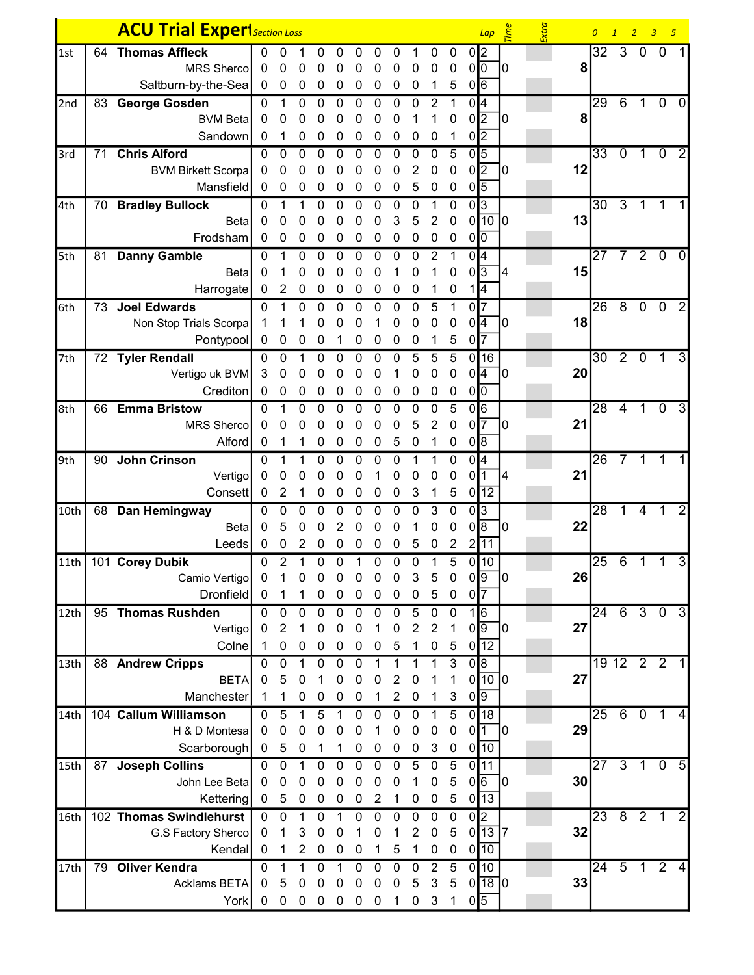|                  |    | <b>ACU Trial ExperI</b> Section Loss |                                  |                  |                  |                          |                  |                  |                          |                            |                  |                 |                  | $Lap \quad \stackrel{\text{d}}{\leq}$ |                                      | Extra |    | $\overline{0}$  | 1              | $\overline{2}$ | 3 <sub>5</sub>  |                |
|------------------|----|--------------------------------------|----------------------------------|------------------|------------------|--------------------------|------------------|------------------|--------------------------|----------------------------|------------------|-----------------|------------------|---------------------------------------|--------------------------------------|-------|----|-----------------|----------------|----------------|-----------------|----------------|
| 1st              | 64 | <b>Thomas Affleck</b>                | 0                                | 0                |                  | 0                        | 0                | 0                | 0                        | 0                          |                  | 0               | 0                | 0 <sup>2</sup>                        |                                      |       |    | 32              | $\mathbf{3}$   | $\mathbf 0$    | - 0             |                |
|                  |    | <b>MRS Sherco</b>                    | 0                                | 0                | 0                | 0                        | 0                | 0                | 0                        | 0                          | 0                | 0               | 0                | 0 <sup>0</sup>                        | 10                                   |       | 8  |                 |                |                |                 |                |
|                  |    | Saltburn-by-the-Sea                  | $\bf{0}$                         | $\pmb{0}$        | 0                | 0                        | 0                | 0                | 0                        | 0                          | 0                | 1               | 5                | $0\sqrt{6}$                           |                                      |       |    |                 |                |                |                 |                |
| 2nd              | 83 | <b>George Gosden</b>                 | 0                                | 1                | 0                | 0                        | 0                | 0                | 0                        | 0                          | 0                | 2               |                  | 0 4                                   |                                      |       |    | 29              | $\overline{6}$ | 1              | $\mathbf 0$     | 0              |
|                  |    | <b>BVM Beta</b>                      | 0                                | 0                | 0                | 0                        | 0                | 0                | 0                        | 0                          |                  |                 | 0                | $0\sqrt{2}$                           | 10                                   |       | 8  |                 |                |                |                 |                |
|                  |    | Sandown                              | 0                                | 1                | 0                | 0                        | 0                | 0                | 0                        | 0                          | 0                | 0               | 1                | $0\sqrt{2}$                           |                                      |       |    |                 |                |                |                 |                |
| 3rd              | 71 | <b>Chris Alford</b>                  | 0                                | 0                | 0                | 0                        | 0                | 0                | 0                        | 0                          | 0                | 0               | 5                | $0\vert 5$                            |                                      |       |    | $\overline{33}$ | $\mathbf 0$    | $\mathbf{1}$   | $\overline{0}$  | $\overline{2}$ |
|                  |    | <b>BVM Birkett Scorpa</b>            | 0                                | 0                | 0                | 0                        | 0                | 0                | 0                        | 0                          | 2                | 0               | $\pmb{0}$        | $0\sqrt{2}$                           | 10                                   |       | 12 |                 |                |                |                 |                |
|                  |    | Mansfield                            | 0                                | 0                | 0                | 0                        | 0                | 0                | 0                        | 0                          | 5                | 0               | 0                | $0\sqrt{5}$                           |                                      |       |    |                 |                |                |                 |                |
| 4th              |    | 70 Bradley Bullock                   | 0                                | 1                |                  | 0                        | 0                | 0                | 0                        | 0                          | 0                |                 | 0                | 0 3                                   |                                      |       |    | 30              | $\overline{3}$ | 1              |                 |                |
|                  |    | Beta                                 | 0                                | 0                | 0                | 0                        | 0                | 0                | 0                        | 3                          | 5                | 2               | $\mathbf 0$      | $0$ <sup>10</sup>                     |                                      |       | 13 |                 |                |                |                 |                |
|                  |    | Frodsham                             | $\mathbf 0$                      | 0                | 0                | 0                        | 0                | 0                | 0                        | 0                          | 0                | 0               | $\pmb{0}$        | 0 <sup>0</sup>                        |                                      |       |    |                 |                |                |                 |                |
| 5th              |    | 81 Danny Gamble                      | 0                                | 1                | 0                | 0                        | 0                | 0                | 0                        | 0                          | 0                | 2               | 1                | 0 <sup>4</sup>                        |                                      |       |    | $\overline{27}$ | 7              |                | $2\overline{0}$ | $\mathbf 0$    |
|                  |    | <b>Beta</b>                          | 0                                |                  | 0                | 0                        | 0                | 0                | 0                        |                            | 0                |                 | 0                | $0\sqrt{3}$                           | 14                                   |       | 15 |                 |                |                |                 |                |
|                  |    | Harrogate                            | $\mathbf 0$                      | $\overline{2}$   | 0                | 0                        | 0                | 0                | 0                        | 0                          | 0                | 1               | $\boldsymbol{0}$ | 1 4                                   |                                      |       |    |                 |                |                |                 |                |
| 6th              | 73 | <b>Joel Edwards</b>                  | $\mathbf{0}$                     | 1                | 0                | $\mathbf 0$              | $\mathbf 0$      | 0                | 0                        | 0                          | 0                | $5\phantom{.0}$ | 1                | 0 <sup>17</sup>                       |                                      |       |    | 26              | $\overline{8}$ |                | $0$ 0           | $\overline{2}$ |
|                  |    | Non Stop Trials Scorpa               |                                  |                  |                  | 0                        | 0                | 0                |                          | 0                          | 0                | 0               | 0                | $0\sqrt{4}$                           | 10                                   |       | 18 |                 |                |                |                 |                |
|                  |    | Pontypool                            | 0                                | 0                | 0                | 0                        | 1                | 0                | 0                        | 0                          | 0                |                 | 5                | $0\overline{7}$                       |                                      |       |    |                 |                |                |                 |                |
| 7th              |    | 72 Tyler Rendall                     | 0                                | $\mathbf 0$      |                  | $\mathbf 0$              | $\mathbf 0$      | 0                | 0                        | 0                          | 5                | 5               | 5                | 0 16                                  |                                      |       |    | 30              | $\overline{2}$ | $\mathbf 0$    | $\overline{1}$  | 3              |
|                  |    | Vertigo uk BVM                       | 3                                | 0                | 0                | 0                        | 0                | 0                | 0                        | 1                          | 0                | 0               | $\mathbf 0$      | $0\sqrt{4}$                           | $\mathbf{I}^{\mathbf{0}}$            |       | 20 |                 |                |                |                 |                |
|                  |    | Crediton                             | 0                                | 0                | 0                | 0                        | 0                | 0                | 0                        | 0                          | 0                | 0               | 0                | $0\sqrt{0}$                           |                                      |       |    |                 |                |                |                 |                |
| 8th              | 66 | <b>Emma Bristow</b>                  | $\mathbf{0}$                     | 1                | 0                | 0                        | 0                | 0                | 0                        | 0                          | 0                | 0               | 5                | 0 6                                   |                                      |       |    | 28              | $\overline{4}$ | $\overline{1}$ | $\overline{0}$  | 3              |
|                  |    | <b>MRS Sherco</b>                    | 0                                | 0                | 0                | 0                        | 0                | 0                | 0                        | 0                          | 5                | $\overline{2}$  | $\mathbf 0$      | $0\sqrt{7}$                           | 10                                   |       | 21 |                 |                |                |                 |                |
|                  |    | Alford                               | 0                                |                  |                  | 0                        | 0                | 0                | $\mathbf 0$              | 5                          | $\mathbf 0$      | 1               | $\pmb{0}$        | 0 8                                   |                                      |       |    |                 |                |                |                 |                |
| 9th              | 90 | <b>John Crinson</b>                  | $\Omega$                         | 1                |                  | 0                        | 0                | 0                | 0                        | 0                          | 1                |                 | 0                | 0I4                                   |                                      |       |    | 26              | $\overline{7}$ | $\mathbf{1}$   | 1               |                |
|                  |    | Vertigo                              | $\mathbf 0$                      | 0                | 0                | 0                        | 0                | 0                |                          | 0                          | 0                | 0               | $\pmb{0}$        | 0 <sup>11</sup>                       | 14                                   |       | 21 |                 |                |                |                 |                |
|                  |    | Consett                              | $\mathbf 0$                      | 2                |                  | 0                        | 0                | 0                | 0                        | $\boldsymbol{0}$           | 3                | 1               | $\overline{5}$   | $0\sqrt{12}$                          |                                      |       |    |                 |                |                |                 |                |
| 10th             |    | 68 Dan Hemingway                     | 0                                | 0                | 0                | 0                        | 0                | 0                | 0                        | 0                          | 0                | 3               | $\mathbf 0$      | 0 3                                   |                                      |       |    | $\overline{28}$ | 1              | 4              | 1               | 2              |
|                  |    | <b>Beta</b>                          | 0                                | 5                | 0                | 0                        | 2                | 0                | 0                        | 0                          |                  | 0               | 0                | 0 8                                   | 10                                   |       | 22 |                 |                |                |                 |                |
|                  |    | Leeds                                | 0                                | 0                | 2                | 0                        | 0                | 0                | 0                        | 0                          | 5                | $\mathbf 0$     | $\overline{2}$   | 2 11                                  |                                      |       |    |                 |                |                |                 |                |
|                  |    | 11th   101 Corey Dubik               | 0                                | $\overline{2}$   | 1                | 0                        | 0                | 1                | $\mathbf 0$              | $\mathbf 0$                | $\mathbf 0$      | 1               | 5                | 0 10                                  |                                      |       |    | 25              |                | 6 1            | $\mathbf{1}$    | 3              |
|                  |    | Camio Vertigo                        | $\boldsymbol{0}$                 | 1                | 0                | $\boldsymbol{0}$         | $\boldsymbol{0}$ | $\boldsymbol{0}$ | $\boldsymbol{0}$         | $\boldsymbol{0}$           | 3                | 5               | $\boldsymbol{0}$ | 0 9                                   | $\overline{10}$                      |       | 26 |                 |                |                |                 |                |
|                  |    | <b>Dronfield</b>                     | $\mathbf{0}$                     |                  |                  | 0                        | 0                | 0                | 0                        | 0                          | $\mathbf 0$      | 5               | $\pmb{0}$        | $0\sqrt{7}$                           |                                      |       |    |                 |                |                |                 |                |
| 12th             |    | 95 Thomas Rushden                    | $\Omega$                         | 0                | 0                | 0                        | $\mathbf 0$      | $\mathbf 0$      | $\mathbf 0$              | $\mathbf 0$                | $\overline{5}$   | $\mathbf 0$     | $\mathbf 0$      | 1 6                                   |                                      |       |    | $\overline{24}$ |                | 6 3 0          |                 | $\overline{3}$ |
|                  |    | Vertigo                              | $\mathbf 0$                      | $\overline{2}$   | 1                | 0                        | 0                | 0                | 1                        | 0                          | $\overline{2}$   | $\overline{2}$  | 1                | $0\sqrt{9}$                           | $\mathsf{I}^{\scriptscriptstyle{0}}$ |       | 27 |                 |                |                |                 |                |
|                  |    | Colne                                | -1                               | 0                | 0                | 0                        | 0                | 0                | 0                        | 5                          | 1                | $\pmb{0}$       | 5                | $0\sqrt{12}$                          |                                      |       |    |                 |                |                |                 |                |
| 13 <sub>th</sub> |    | 88 Andrew Cripps                     | 0                                | $\mathbf 0$      | 1                | $\mathbf 0$              | 0                | $\mathbf 0$      | 1                        | 1                          | 1                | 1               | 3                | $\overline{0 8}$                      |                                      |       |    |                 |                | 19 12 2 2      |                 |                |
|                  |    | <b>BETA</b>                          | $\mathbf 0$                      | 5                | 0                | 1                        | 0                | 0                | 0                        | $\overline{2}$             | 0                |                 |                  | $0$ <sup>10<math>\sigma</math></sup>  |                                      |       | 27 |                 |                |                |                 |                |
|                  |    | Manchester                           | $\mathbf{1}$                     | 1                | $\mathbf 0$      | 0                        | 0                | $\pmb{0}$        | 1                        | $\overline{2}$             | $\pmb{0}$        | 1               | $\sqrt{3}$       | $0\sqrt{9}$                           |                                      |       |    |                 |                |                |                 |                |
| 14th             |    | 104 Callum Williamson                | $\mathbf 0$                      | 5                | 1                | 5                        | $\mathbf{1}$     | $\mathbf 0$      | $\mathbf 0$              | $\mathbf 0$                | $\mathbf 0$      | -1              | 5                | 0 18                                  |                                      |       |    | $\overline{25}$ | 6              | $\overline{0}$ | $\mathbf{1}$    | $\vert$        |
|                  |    | H & D Montesa                        | 0                                | 0                | 0                | $\Omega$                 | $\Omega$         | 0                | 1                        | 0                          | $\mathbf{0}$     | $\mathbf 0$     | $\mathbf 0$      | 0 <sup>11</sup>                       | $\mathbf{I}^{\mathbf{0}}$            |       | 29 |                 |                |                |                 |                |
|                  |    | Scarborough                          | $\mathbf{0}$                     | $\sqrt{5}$       | $\boldsymbol{0}$ | 1                        | 1                | 0                | 0                        | $\pmb{0}$                  | $\pmb{0}$        | $\sqrt{3}$      | $\pmb{0}$        | $0\sqrt{10}$                          |                                      |       |    |                 |                |                |                 |                |
| 15th             | 87 | <b>Joseph Collins</b>                | $\mathbf 0$                      | $\overline{0}$   | 1                | 0                        | 0                | 0                | $\mathbf 0$              | $\mathbf 0$                | $\overline{5}$   | $\mathbf 0$     | $\overline{5}$   | 0 11                                  |                                      |       |    | $\overline{27}$ | $\overline{3}$ | $\overline{1}$ | $\overline{0}$  | $\overline{5}$ |
|                  |    | John Lee Beta                        | $\mathbf{0}$                     | $\mathbf 0$      | 0                | 0                        | 0                | 0                | 0                        | $\pmb{0}$                  | 1                | $\mathbf 0$     | 5                | $0$ <sup>6</sup>                      | $\mathbf{I}^{\mathbf{0}}$            |       | 30 |                 |                |                |                 |                |
|                  |    | Kettering                            | $\mathbf 0$                      | 5                | $\pmb{0}$        | $\pmb{0}$                | 0                | 0                | $\overline{2}$           | 1                          | 0                | $\pmb{0}$       | $\sqrt{5}$       | $0\sqrt{13}$                          |                                      |       |    |                 |                |                |                 |                |
|                  |    | 102 Thomas Swindlehurst              | $\mathbf 0$                      | $\overline{0}$   | $\mathbf{1}$     | $\overline{0}$           | $\mathbf{1}$     | 0                | $\mathbf 0$              | $\mathbf 0$                | $\mathbf 0$      | $\mathbf 0$     | $\overline{0}$   | 0 2                                   |                                      |       |    | $\overline{23}$ |                | $821$          |                 | $\overline{2}$ |
| 16th             |    | G.S Factory Sherco                   | $\mathbf 0$                      | 1                | 3                | 0                        | 0                |                  | 0                        |                            | 2                | $\mathbf 0$     | $5\phantom{.0}$  | $0\overline{13}$ 7                    |                                      |       | 32 |                 |                |                |                 |                |
|                  |    | Kendal                               | 0                                | 1                | 2                | $\mathbf 0$              | 0                | 0                | 1                        | 5                          | 1                | 0               | $\mathbf 0$      | $0\sqrt{10}$                          |                                      |       |    |                 |                |                |                 |                |
|                  | 79 |                                      |                                  |                  |                  |                          |                  |                  |                          |                            |                  | $\overline{2}$  | $\overline{5}$   | $\overline{0 10}$                     |                                      |       |    | $24 \quad 5$    |                |                |                 |                |
| 17th             |    | <b>Oliver Kendra</b><br>Acklams BETA | $\mathbf{0}$<br>$\boldsymbol{0}$ | 1<br>5           | 1<br>0           | $\mathbf 0$<br>$\pmb{0}$ | 1<br>0           | 0<br>$\pmb{0}$   | $\mathbf 0$<br>$\pmb{0}$ | $\mathbf 0$<br>$\mathbf 0$ | $\mathbf 0$<br>5 | $\mathbf{3}$    | $\overline{5}$   | $0$ <sup>18</sup> $0$                 |                                      |       | 33 |                 |                |                | $1\quad2$       | 4              |
|                  |    |                                      |                                  |                  |                  |                          |                  |                  |                          |                            |                  |                 |                  |                                       |                                      |       |    |                 |                |                |                 |                |
|                  |    | York                                 | $\mathbf 0$                      | $\boldsymbol{0}$ | $\boldsymbol{0}$ | $\mathbf 0$              | 0                | $\boldsymbol{0}$ | $\boldsymbol{0}$         | 1                          | $\boldsymbol{0}$ | $\mathbf{3}$    | $\overline{1}$   | $0\sqrt{5}$                           |                                      |       |    |                 |                |                |                 |                |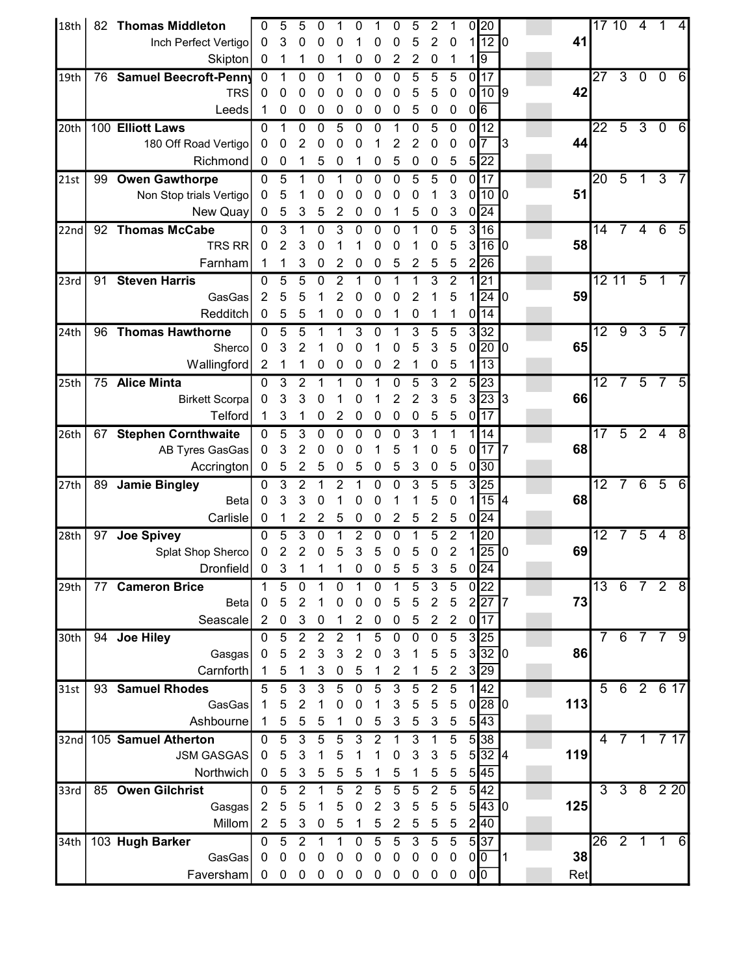| 18th | 82 | <b>Thomas Middleton</b>      | 0              | 5              | 5                         | 0                 |                  | 0                |                | 0              | 5              | 2              |                  |                | 0 20                                     |    |     | 17 10           |                  | 4                        |              |      |
|------|----|------------------------------|----------------|----------------|---------------------------|-------------------|------------------|------------------|----------------|----------------|----------------|----------------|------------------|----------------|------------------------------------------|----|-----|-----------------|------------------|--------------------------|--------------|------|
|      |    | Inch Perfect Vertigo         | 0              | 3              | 0                         | 0                 | 0                |                  | 0              | 0              | 5              | $\overline{2}$ | $\mathbf 0$      |                | $1$ <sup>12 <math>\boxed{0}</math></sup> |    | 41  |                 |                  |                          |              |      |
|      |    | Skipton                      | 0              | 1              | 1                         | 0                 | 1                | 0                | 0              | 2              | 2              | 0              | 1                |                | $1\sqrt{9}$                              |    |     |                 |                  |                          |              |      |
| 19th | 76 | <b>Samuel Beecroft-Penny</b> | $\mathbf 0$    |                | 0                         | 0                 | 1                | 0                | 0              | 0              | 5              | 5              | 5                |                | 0 17                                     |    |     | 27              | $\overline{3}$   | $\mathbf 0$              | $\mathbf 0$  | 6    |
|      |    | <b>TRS</b>                   | 0              | 0              | 0                         | 0                 | 0                | 0                | 0              | 0              | 5              | 5              | 0                |                | 0 10 9                                   |    | 42  |                 |                  |                          |              |      |
|      |    | Leeds                        | 1              | 0              | 0                         | 0                 | 0                | 0                | 0              | 0              | 5              | 0              | $\boldsymbol{0}$ | $0\sqrt{6}$    |                                          |    |     |                 |                  |                          |              |      |
| 20th |    | 100 Elliott Laws             | 0              |                | 0                         | 0                 | 5                | 0                | 0              | 1              | 0              | 5              | $\mathbf 0$      |                | 0 12                                     |    |     | 22              | $\overline{5}$   | $\overline{3}$           | 0            | 6    |
|      |    | 180 Off Road Vertigo         | 0              | 0              | $\overline{c}$            | 0                 | 0                | 0                | 1              | 2              | 2              | 0              | 0                | $\overline{0}$ | 7                                        | 13 | 44  |                 |                  |                          |              |      |
|      |    | Richmond                     | 0              | 0              | 1                         | 5                 | 0                |                  | 0              | 5              | 0              | 0              | 5                |                | $5\overline{22}$                         |    |     |                 |                  |                          |              |      |
| 21st | 99 | <b>Owen Gawthorpe</b>        | $\mathbf{0}$   | 5              | 1                         | 0                 | 1                | 0                | 0              | 0              | 5              | 5              | $\boldsymbol{0}$ |                | $0\overline{17}$                         |    |     | 20              | $\overline{5}$   | 1                        | 3            |      |
|      |    | Non Stop trials Vertigo      | 0              | 5              | 1                         | 0                 | 0                | 0                | 0              | 0              | 0              |                | 3                |                | $0$ <sup>10<math>0</math></sup>          |    | 51  |                 |                  |                          |              |      |
|      |    | New Quay                     | 0              | 5              | 3                         | 5                 | 2                | 0                | 0              | 1              | 5              | 0              | 3                |                | $0\sqrt{24}$                             |    |     |                 |                  |                          |              |      |
| 22nd |    | 92 Thomas McCabe             | 0              | 3              | 1                         | 0                 | 3                | 0                | 0              | 0              | 1              | 0              | 5                |                | 3 16                                     |    |     | 14              | 7                | 4                        | 6            | 5    |
|      |    | <b>TRS RR</b>                | 0              | 2              | 3                         | 0                 |                  |                  | 0              | 0              |                | 0              | 5                |                | 3 16 0                                   |    | 58  |                 |                  |                          |              |      |
|      |    | Farnham                      | 1              | 1              | 3                         | 0                 | 2                | 0                | 0              | 5              | 2              | 5              | 5                |                | 2 26                                     |    |     |                 |                  |                          |              |      |
| 23rd | 91 | <b>Steven Harris</b>         | $\mathbf{0}$   | 5              | 5                         | 0                 | 2                | 1                | 0              |                |                | 3              | 2                |                | 1 21                                     |    |     | 1211            |                  | 5                        |              |      |
|      |    | GasGas                       | $\overline{2}$ | 5              | 5                         |                   | $\overline{c}$   | 0                | 0              | 0              | 2              |                | 5                |                | $1$   24   0                             |    | 59  |                 |                  |                          |              |      |
|      |    | Redditch                     | 0              | 5              | 5                         |                   | 0                | 0                | 0              | 1              | 0              |                |                  |                | 0 14                                     |    |     |                 |                  |                          |              |      |
| 24th | 96 | <b>Thomas Hawthorne</b>      | $\mathbf 0$    | 5              | 5                         | 1                 | 1                | 3                | 0              | 1              | 3              | 5              | 5                |                | 3 32                                     |    |     | $\overline{12}$ | $\overline{9}$   | 3                        | 5            |      |
|      |    | Sherco                       | 0              | 3              | 2                         |                   | 0                | 0                | 1              | 0              | 5              | 3              | 5                |                | $0\sqrt{20}$ 0                           |    | 65  |                 |                  |                          |              |      |
|      |    | Wallingford                  | $\overline{2}$ | 1              | 1                         | 0                 | 0                | 0                | 0              | $\overline{2}$ | 1              | 0              | 5                |                | 1 13                                     |    |     |                 |                  |                          |              |      |
| 25th | 75 | <b>Alice Minta</b>           | $\mathbf{0}$   | 3              | $\overline{2}$            | 1                 |                  | 0                |                | $\mathbf 0$    | 5              | 3              | $\overline{2}$   |                | 5 23                                     |    |     | 12              | $\overline{7}$   | $\overline{5}$           | 7            |      |
|      |    | <b>Birkett Scorpa</b>        | $\mathbf 0$    | 3              | 3                         | 0                 |                  | 0                | 1              | 2              | $\overline{c}$ | 3              | 5                |                | 3 23 3                                   |    | 66  |                 |                  |                          |              |      |
|      |    | <b>Telford</b>               | 1              | 3              | 1                         | 0                 | 2                | 0                | 0              | 0              | 0              | 5              | 5                |                | $0\sqrt{17}$                             |    |     |                 |                  |                          |              |      |
| 26th |    | 67 Stephen Cornthwaite       | $\mathbf 0$    | 5              | 3                         | 0                 | 0                | 0                | 0              | 0              | 3              |                |                  |                | 1 14                                     |    |     | 17              | $\overline{5}$   | $\overline{2}$           | 4            | 8    |
|      |    | AB Tyres GasGas              | 0              | 3              | $\overline{c}$            | 0                 | 0                | 0                | 1              | 5              | 1              | 0              | 5                |                | $0$ <sup>17</sup> $7$                    |    | 68  |                 |                  |                          |              |      |
|      |    | Accrington                   | 0              | 5              | 2                         | 5                 | 0                | 5                | 0              | 5              | 3              | 0              | 5                |                | 0 30                                     |    |     |                 |                  |                          |              |      |
| 27th | 89 | <b>Jamie Bingley</b>         | $\mathbf{0}$   | 3              | 2                         |                   | 2                |                  | 0              | 0              | 3              | 5              | 5                |                | 3 25                                     |    |     | 12              | $\overline{7}$   | 6                        | 5            | 6    |
|      |    | <b>Beta</b>                  | 0              | 3              | 3                         | 0                 |                  | 0                | 0              |                | 1              | 5              | 0                |                | $1$ 15 4                                 |    | 68  |                 |                  |                          |              |      |
|      |    | Carlisle                     | 0              | 1              | 2                         | 2                 | 5                | 0                | 0              | 2              | 5              | 2              | 5                |                | $0\sqrt{24}$                             |    |     |                 |                  |                          |              |      |
| 28th | 97 | <b>Joe Spivey</b>            | 0              | 5              | 3                         | 0                 | 1                | 2                | 0              | 0              |                | 5              | 2                |                | 1 20                                     |    |     | 12              | 7                | $\overline{5}$           | 4            | 8    |
|      |    | Splat Shop Sherco            | $\mathbf 0$    | $\overline{2}$ | $\overline{2}$<br>-1      | 0<br>$\mathbf{1}$ | 5<br>1           | 3                | 5              | 0<br>ς         | 5              | 0              | 2                |                | $1$   25   0                             |    | 69  |                 |                  |                          |              |      |
|      |    | Dronfield                    | $\overline{0}$ | 3              |                           |                   |                  | $\mathbf{0}$     | $\mathbf 0$    |                | 5              | 3              | 5                |                | $0\sqrt{24}$                             |    |     |                 |                  |                          |              |      |
| 29th | 77 | <b>Cameron Brice</b>         |                | 5              | 0                         |                   | 0                |                  | 0              |                | 5              | 3              | 5                |                | 0 22                                     |    |     | 13              |                  | 6 7 2 8                  |              |      |
|      |    | Beta                         | 0              | 5              | $\overline{2}$            |                   | 0                | 0                | 0              | 5              | 5              | $\overline{2}$ | $\sqrt{5}$       |                | 2 27 7                                   |    | 73  |                 |                  |                          |              |      |
|      |    | Seascale                     | $\overline{2}$ | $\pmb{0}$      | 3                         | 0                 | 1                | 2                | 0              | 0              | 5              | $\overline{2}$ | $\overline{2}$   |                | $0\sqrt{17}$                             |    |     |                 |                  |                          |              |      |
| 30th |    | 94 Joe Hiley                 | $\Omega$       | 5              | $\overline{2}$            | $\overline{2}$    | $\overline{2}$   | 1                | 5              | 0              | 0              | 0              | 5                |                | 3 25                                     |    |     | $\overline{7}$  | 6                | 7                        | 7            | 9    |
|      |    | Gasgas                       | $\mathbf 0$    | 5              | $\overline{2}$            | 3                 | 3                | $\overline{c}$   | 0              | 3              |                | 5              | 5                |                | 3 32 0                                   |    | 86  |                 |                  |                          |              |      |
|      |    | Carnforth                    | 1              | 5              | 1                         | 3                 | 0                | 5                | 1              | 2              | 1              | 5              | $\boldsymbol{2}$ |                | $3\overline{29}$                         |    |     |                 |                  |                          |              |      |
| 31st |    | 93 Samuel Rhodes             | 5              | 5              | $\ensuremath{\mathsf{3}}$ | 3                 | 5                | $\pmb{0}$        | 5              | 3              | 5              | $\overline{2}$ | 5                |                | 1 42                                     |    |     | 5               |                  | 62617                    |              |      |
|      |    | GasGas                       | 1              | 5              | $\overline{2}$            | 1                 | 0                | 0                | 1              | 3              | 5              | 5              | $\mathbf 5$      |                | $0$  28   $0$                            |    | 113 |                 |                  |                          |              |      |
|      |    | Ashbourne                    | 1              | 5              | 5                         | 5                 | 1                | 0                | 5              | 3              | 5              | 3              | 5                |                | $5\sqrt{43}$                             |    |     |                 |                  |                          |              |      |
| 32nd |    | 105 Samuel Atherton          | $\Omega$       | $\overline{5}$ | 3                         | 5                 | 5                | 3                | $\overline{2}$ | 1              | 3              | 1              | 5                |                | 5 38                                     |    |     | $\overline{4}$  | 7 <sub>1</sub>   |                          |              | 7 17 |
|      |    | <b>JSM GASGAS</b>            | $\Omega$       | 5              | 3                         |                   | 5                | 1                | 1              | 0              | 3              | 3              | $\mathbf 5$      |                | 5 32 4                                   |    | 119 |                 |                  |                          |              |      |
|      |    | Northwich                    | 0              | 5              | 3                         | 5                 | 5                | 5                | 1              | 5              | 1              | 5              | $\mathbf 5$      |                | 5 45                                     |    |     |                 |                  |                          |              |      |
| 33rd |    | 85 Owen Gilchrist            | $\Omega$       | $\overline{5}$ | $\overline{2}$            | 1                 | 5                | $\overline{2}$   | 5              | 5              | 5              | $\overline{2}$ | $\overline{5}$   |                | 5 42                                     |    |     | $\overline{3}$  |                  | $\overline{3}$ 8 2 2 2 0 |              |      |
|      |    | Gasgas                       | $\overline{2}$ | 5              | 5                         | 1                 | 5                | $\boldsymbol{0}$ | $\overline{2}$ | 3              | 5              | 5              | $\sqrt{5}$       |                | $5\overline{43}$ 0                       |    | 125 |                 |                  |                          |              |      |
|      |    | Millom                       | $\overline{2}$ | 5              | $\ensuremath{\mathsf{3}}$ | 0                 | 5                | 1                | 5              | $\overline{2}$ | 5              | 5              | 5                |                | 2 40                                     |    |     |                 |                  |                          |              |      |
| 34th |    | 103 Hugh Barker              | $\mathbf 0$    | $\overline{5}$ | $\overline{2}$            | 1                 | 1                | $\mathbf 0$      | 5              | 5              | 3              | 5              | 5                |                | 5 37                                     |    |     | $\overline{26}$ | $2 \overline{1}$ |                          | $\mathbf{1}$ | 6    |
|      |    | GasGas                       | $\mathbf 0$    | $\pmb{0}$      | $\pmb{0}$                 | 0                 | 0                | 0                | 0              | 0              | 0              | $\mathbf 0$    | $\mathbf 0$      | 0 0            |                                          | 11 | 38  |                 |                  |                          |              |      |
|      |    | Faversham                    | $\overline{0}$ | $\overline{0}$ | $\boldsymbol{0}$          | $\mathbf 0$       | $\boldsymbol{0}$ | $\mathbf 0$      | $\pmb{0}$      | $\mathbf 0$    | $\mathbf 0$    | $\pmb{0}$      | $\mathbf 0$      | 0 0            |                                          |    | Ret |                 |                  |                          |              |      |